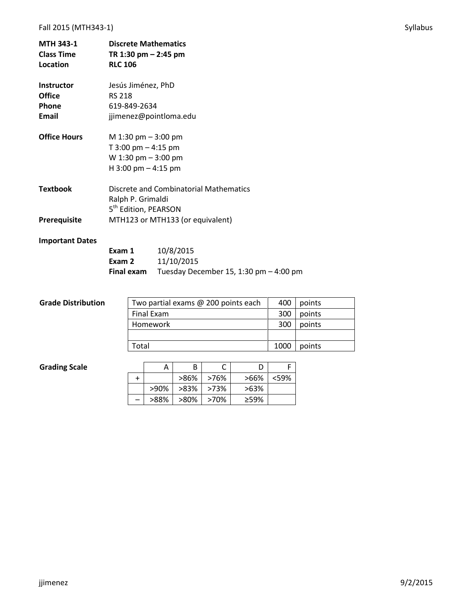# Fall 2015 (MTH343-1) Syllabus and the syllabus syllabus syllabus syllabus syllabus syllabus syllabus syllabus syllabus syllabus syllabus syllabus syllabus syllabus syllabus syllabus syllabus syllabus syllabus syllabus syll

| <b>MTH 343-1</b><br><b>Class Time</b><br>Location | <b>Discrete Mathematics</b><br>TR 1:30 pm – 2:45 pm<br><b>RLC 106</b> |  |  |  |  |
|---------------------------------------------------|-----------------------------------------------------------------------|--|--|--|--|
|                                                   |                                                                       |  |  |  |  |
| <b>Instructor</b>                                 | Jesús Jiménez, PhD                                                    |  |  |  |  |
| <b>Office</b>                                     | <b>RS 218</b>                                                         |  |  |  |  |
| Phone                                             | 619-849-2634                                                          |  |  |  |  |
| Email                                             | jjimenez@pointloma.edu                                                |  |  |  |  |
| <b>Office Hours</b>                               | M 1:30 pm $-$ 3:00 pm                                                 |  |  |  |  |
|                                                   | T 3:00 pm $-$ 4:15 pm                                                 |  |  |  |  |
|                                                   | W 1:30 pm $-$ 3:00 pm                                                 |  |  |  |  |
|                                                   | H 3:00 pm $-$ 4:15 pm                                                 |  |  |  |  |
| <b>Textbook</b>                                   | Discrete and Combinatorial Mathematics<br>Ralph P. Grimaldi           |  |  |  |  |
|                                                   | 5 <sup>th</sup> Edition, PEARSON                                      |  |  |  |  |
| <b>Prerequisite</b>                               | MTH123 or MTH133 (or equivalent)                                      |  |  |  |  |

# **Important Dates**

| Exam 1     | 10/8/2015                                |
|------------|------------------------------------------|
| Exam 2     | 11/10/2015                               |
| Final exam | Tuesday December 15, 1:30 pm $-$ 4:00 pm |

| <b>Grade Distribution</b> | Two partial exams @ 200 points each | 400  | points |
|---------------------------|-------------------------------------|------|--------|
|                           | Final Exam                          | 300  | points |
|                           | Homework                            | 300  | points |
|                           |                                     |      |        |
|                           | Total                               | 1000 | points |

# **Grading Scale**

|      | B    |      |         |         |
|------|------|------|---------|---------|
|      | >86% | >76% | >66%    | $<$ 59% |
| >90% | >83% | >73% | $>63\%$ |         |
| >88% | >80% | >70% | ≥59%    |         |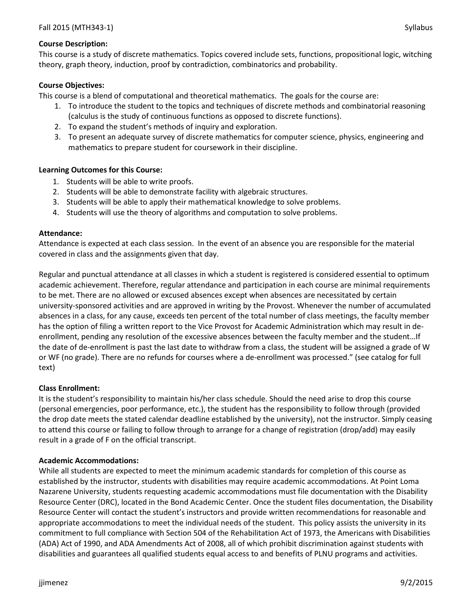### **Course Description:**

This course is a study of discrete mathematics. Topics covered include sets, functions, propositional logic, witching theory, graph theory, induction, proof by contradiction, combinatorics and probability.

### **Course Objectives:**

This course is a blend of computational and theoretical mathematics. The goals for the course are:

- 1. To introduce the student to the topics and techniques of discrete methods and combinatorial reasoning (calculus is the study of continuous functions as opposed to discrete functions).
- 2. To expand the student's methods of inquiry and exploration.
- 3. To present an adequate survey of discrete mathematics for computer science, physics, engineering and mathematics to prepare student for coursework in their discipline.

### **Learning Outcomes for this Course:**

- 1. Students will be able to write proofs.
- 2. Students will be able to demonstrate facility with algebraic structures.
- 3. Students will be able to apply their mathematical knowledge to solve problems.
- 4. Students will use the theory of algorithms and computation to solve problems.

#### **Attendance:**

Attendance is expected at each class session. In the event of an absence you are responsible for the material covered in class and the assignments given that day.

Regular and punctual attendance at all classes in which a student is registered is considered essential to optimum academic achievement. Therefore, regular attendance and participation in each course are minimal requirements to be met. There are no allowed or excused absences except when absences are necessitated by certain university-sponsored activities and are approved in writing by the Provost. Whenever the number of accumulated absences in a class, for any cause, exceeds ten percent of the total number of class meetings, the faculty member has the option of filing a written report to the Vice Provost for Academic Administration which may result in deenrollment, pending any resolution of the excessive absences between the faculty member and the student…If the date of de-enrollment is past the last date to withdraw from a class, the student will be assigned a grade of W or WF (no grade). There are no refunds for courses where a de-enrollment was processed." (see catalog for full text)

#### **Class Enrollment:**

It is the student's responsibility to maintain his/her class schedule. Should the need arise to drop this course (personal emergencies, poor performance, etc.), the student has the responsibility to follow through (provided the drop date meets the stated calendar deadline established by the university), not the instructor. Simply ceasing to attend this course or failing to follow through to arrange for a change of registration (drop/add) may easily result in a grade of F on the official transcript.

#### **Academic Accommodations:**

While all students are expected to meet the minimum academic standards for completion of this course as established by the instructor, students with disabilities may require academic accommodations. At Point Loma Nazarene University, students requesting academic accommodations must file documentation with the Disability Resource Center (DRC), located in the Bond Academic Center. Once the student files documentation, the Disability Resource Center will contact the student's instructors and provide written recommendations for reasonable and appropriate accommodations to meet the individual needs of the student. This policy assists the university in its commitment to full compliance with Section 504 of the Rehabilitation Act of 1973, the Americans with Disabilities (ADA) Act of 1990, and ADA Amendments Act of 2008, all of which prohibit discrimination against students with disabilities and guarantees all qualified students equal access to and benefits of PLNU programs and activities.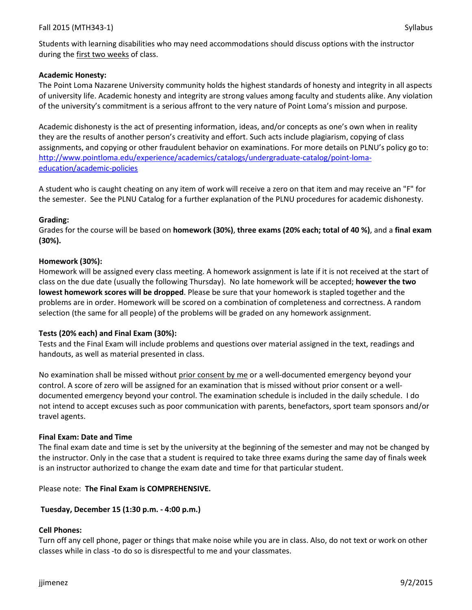Students with learning disabilities who may need accommodations should discuss options with the instructor during the first two weeks of class.

### **Academic Honesty:**

The Point Loma Nazarene University community holds the highest standards of honesty and integrity in all aspects of university life. Academic honesty and integrity are strong values among faculty and students alike. Any violation of the university's commitment is a serious affront to the very nature of Point Loma's mission and purpose.

Academic dishonesty is the act of presenting information, ideas, and/or concepts as one's own when in reality they are the results of another person's creativity and effort. Such acts include plagiarism, copying of class assignments, and copying or other fraudulent behavior on examinations. For more details on PLNU's policy go to: [http://www.pointloma.edu/experience/academics/catalogs/undergraduate-catalog/point-loma](http://www.pointloma.edu/experience/academics/catalogs/undergraduate-catalog/point-loma-education/academic-policies)[education/academic-policies](http://www.pointloma.edu/experience/academics/catalogs/undergraduate-catalog/point-loma-education/academic-policies)

A student who is caught cheating on any item of work will receive a zero on that item and may receive an "F" for the semester. See the PLNU Catalog for a further explanation of the PLNU procedures for academic dishonesty.

### **Grading:**

Grades for the course will be based on **homework (30%)**, **three exams (20% each; total of 40 %)**, and a **final exam (30%).**

### **Homework (30%):**

Homework will be assigned every class meeting. A homework assignment is late if it is not received at the start of class on the due date (usually the following Thursday). No late homework will be accepted; **however the two lowest homework scores will be dropped**. Please be sure that your homework is stapled together and the problems are in order. Homework will be scored on a combination of completeness and correctness. A random selection (the same for all people) of the problems will be graded on any homework assignment.

# **Tests (20% each) and Final Exam (30%):**

Tests and the Final Exam will include problems and questions over material assigned in the text, readings and handouts, as well as material presented in class.

No examination shall be missed without prior consent by me or a well-documented emergency beyond your control. A score of zero will be assigned for an examination that is missed without prior consent or a welldocumented emergency beyond your control. The examination schedule is included in the daily schedule. I do not intend to accept excuses such as poor communication with parents, benefactors, sport team sponsors and/or travel agents.

# **Final Exam: Date and Time**

The final exam date and time is set by the university at the beginning of the semester and may not be changed by the instructor. Only in the case that a student is required to take three exams during the same day of finals week is an instructor authorized to change the exam date and time for that particular student.

# Please note: **The Final Exam is COMPREHENSIVE.**

# **Tuesday, December 15 (1:30 p.m. - 4:00 p.m.)**

# **Cell Phones:**

Turn off any cell phone, pager or things that make noise while you are in class. Also, do not text or work on other classes while in class -to do so is disrespectful to me and your classmates.